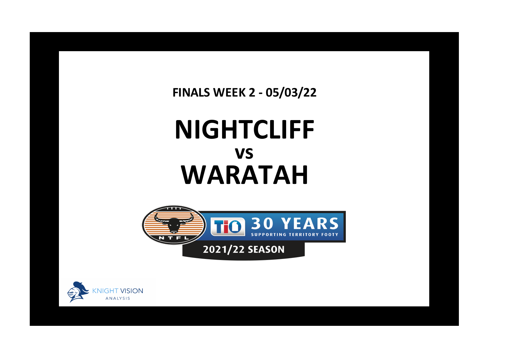**FINALS WEEK 2 - 05/03/22**

## **NIGHTCLIFF WARATAH vs**





**x**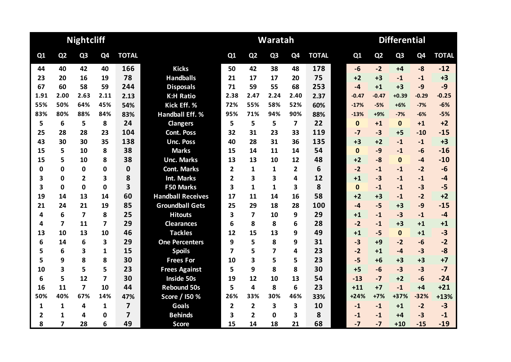|      |                | <b>Nightcliff</b>       |                |                         |                          |                |                         | Waratah        |                |              | <b>Differential</b> |                |                |                |              |  |  |
|------|----------------|-------------------------|----------------|-------------------------|--------------------------|----------------|-------------------------|----------------|----------------|--------------|---------------------|----------------|----------------|----------------|--------------|--|--|
| Q1   | Q <sub>2</sub> | Q <sub>3</sub>          | Q4             | <b>TOTAL</b>            |                          | Q1             | Q <sub>2</sub>          | Q <sub>3</sub> | Q <sub>4</sub> | <b>TOTAL</b> | Q1                  | Q <sub>2</sub> | Q <sub>3</sub> | Q <sub>4</sub> | <b>TOTAL</b> |  |  |
| 44   | 40             | 42                      | 40             | 166                     | <b>Kicks</b>             | 50             | 42                      | 38             | 48             | 178          | $-6$                | $-2$           | $+4$           | $-8$           | $-12$        |  |  |
| 23   | 20             | 16                      | 19             | 78                      | <b>Handballs</b>         | 21             | 17                      | 17             | 20             | 75           | $+2$                | $+3$           | $-1$           | $-1$           | $+3$         |  |  |
| 67   | 60             | 58                      | 59             | 244                     | <b>Disposals</b>         | 71             | 59                      | 55             | 68             | 253          | $-4$                | $+1$           | $+3$           | $-9$           | $-9$         |  |  |
| 1.91 | 2.00           | 2.63                    | 2.11           | 2.13                    | <b>K:H Ratio</b>         | 2.38           | 2.47                    | 2.24           | 2.40           | 2.37         | $-0.47$             | $-0.47$        | $+0.39$        | $-0.29$        | $-0.25$      |  |  |
| 55%  | 50%            | 64%                     | 45%            | 54%                     | Kick Eff. %              | 72%            | 55%                     | 58%            | 52%            | 60%          | $-17%$              | $-5%$          | $+6%$          | $-7%$          | $-6%$        |  |  |
| 83%  | 80%            | 88%                     | 84%            | 83%                     | <b>Handball Eff. %</b>   | 95%            | 71%                     | 94%            | 90%            | 88%          | $-13%$              | $+9%$          | $-7%$          | $-6%$          | $-5%$        |  |  |
| 5    | 6              | 5                       | 8              | 24                      | <b>Clangers</b>          | 5              | 5                       | 5              | 7              | 22           | $\mathbf{0}$        | $+1$           | $\mathbf{0}$   | $+1$           | $+2$         |  |  |
| 25   | 28             | 28                      | 23             | 104                     | <b>Cont. Poss</b>        | 32             | 31                      | 23             | 33             | 119          | $-7$                | $-3$           | $+5$           | $-10$          | $-15$        |  |  |
| 43   | 30             | 30                      | 35             | 138                     | <b>Unc. Poss</b>         | 40             | 28                      | 31             | 36             | 135          | $+3$                | $+2$           | $-1$           | $-1$           | $+3$         |  |  |
| 15   | 5              | 10                      | 8              | 38                      | <b>Marks</b>             | 15             | 14                      | 11             | 14             | 54           | $\mathbf{0}$        | $-9$           | $-1$           | $-6$           | $-16$        |  |  |
| 15   | 5              | 10                      | 8              | 38                      | <b>Unc. Marks</b>        | 13             | 13                      | 10             | 12             | 48           | $+2$                | $-8$           | $\mathbf{0}$   | $-4$           | $-10$        |  |  |
| 0    | $\mathbf 0$    | $\mathbf 0$             | 0              | $\mathbf 0$             | <b>Cont. Marks</b>       | $\overline{2}$ | 1                       | 1              | $\overline{2}$ | 6            | $-2$                | $-1$           | $-1$           | $-2$           | $-6$         |  |  |
| 3    | $\mathbf 0$    | $\overline{2}$          | 3              | 8                       | <b>Int. Marks</b>        | $\overline{2}$ | 3                       | 3              | 4              | 12           | $+1$                | $-3$           | $-1$           | $-1$           | $-4$         |  |  |
| 3    | $\mathbf 0$    | $\Omega$                | $\Omega$       | $\overline{\mathbf{3}}$ | <b>F50 Marks</b>         | 3              | $\mathbf{1}$            | 1              | 3              | 8            | $\mathbf{0}$        | $-1$           | $-1$           | $-3$           | $-5$         |  |  |
| 19   | 14             | 13                      | 14             | 60                      | <b>Handball Receives</b> | 17             | 11                      | 14             | 16             | 58           | $+2$                | $+3$           | $-1$           | $-2$           | $+2$         |  |  |
| 21   | 24             | 21                      | 19             | 85                      | <b>Groundball Gets</b>   | 25             | 29                      | 18             | 28             | 100          | $-4$                | $-5$           | $+3$           | $-9$           | $-15$        |  |  |
| 4    | 6              | $\overline{\mathbf{z}}$ | 8              | 25                      | <b>Hitouts</b>           | 3              | $\overline{\mathbf{z}}$ | 10             | 9              | 29           | $+1$                | $-1$           | $-3$           | $-1$           | $-4$         |  |  |
| 4    | $\overline{7}$ | 11                      | $\overline{7}$ | 29                      | <b>Clearances</b>        | 6              | 8                       | 8              | 6              | 28           | $-2$                | $-1$           | $+3$           | $+1$           | $+1$         |  |  |
| 13   | 10             | 13                      | 10             | 46                      | <b>Tackles</b>           | 12             | 15                      | 13             | 9              | 49           | $+1$                | $-5$           | $\mathbf{0}$   | $+1$           | $-3$         |  |  |
| 6    | 14             | 6                       | 3              | 29                      | <b>One Percenters</b>    | 9              | 5                       | 8              | 9              | 31           | $-3$                | $+9$           | $-2$           | $-6$           | $-2$         |  |  |
| 5    | 6              | $\overline{\mathbf{3}}$ | 1              | 15                      | <b>Spoils</b>            | 7              | 5                       | 7              | 4              | 23           | $-2$                | $+1$           | $-4$           | $-3$           | $-8$         |  |  |
| 5    | 9              | 8                       | 8              | 30                      | <b>Frees For</b>         | 10             | 3                       | 5              | 5              | 23           | $-5$                | $+6$           | $+3$           | $+3$           | $+7$         |  |  |
| 10   | 3              | 5                       | 5              | 23                      | <b>Frees Against</b>     | 5              | 9                       | 8              | 8              | 30           | $+5$                | $-6$           | $-3$           | $-3$           | $-7$         |  |  |
| 6    | 5              | 12                      | $\overline{7}$ | 30                      | Inside 50s               | 19             | 12                      | 10             | 13             | 54           | $-13$               | $-7$           | $+2$           | $-6$           | $-24$        |  |  |
| 16   | 11             | $\overline{7}$          | 10             | 44                      | <b>Rebound 50s</b>       | 5              | 4                       | 8              | 6              | 23           | $+11$               | $+7$           | $-1$           | $+4$           | $+21$        |  |  |
| 50%  | 40%            | 67%                     | 14%            | 47%                     | Score / I50 %            | 26%            | 33%                     | 30%            | 46%            | 33%          | $+24%$              | $+7%$          | $+37%$         | $-32%$         | $+13%$       |  |  |
| 1    | 1              | 4                       | $\mathbf{1}$   | $\overline{7}$          | <b>Goals</b>             | $\overline{2}$ | $\overline{2}$          | 3              | 3              | 10           | $-1$                | $-1$           | $+1$           | $-2$           | $-3$         |  |  |
| 2    | 1              | 4                       | 0              | $\overline{7}$          | <b>Behinds</b>           | 3              | $\overline{2}$          | $\Omega$       | 3              | 8            | $-1$                | $-1$           | +4             | $-3$           | $-1$         |  |  |
| 8    | 7              | 28                      | 6              | 49                      | <b>Score</b>             | 15             | 14                      | 18             | 21             | 68           | $-7$                | $-7$           | $+10$          | $-15$          | $-19$        |  |  |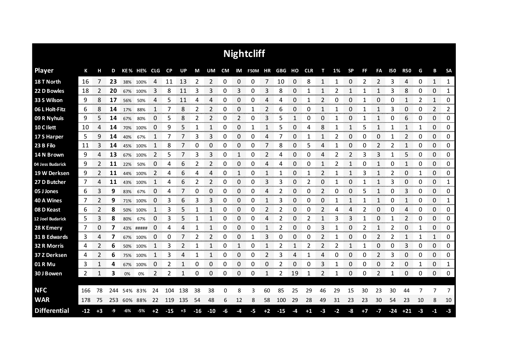| <b>Nightcliff</b>   |       |      |     |     |             |      |       |              |       |              |    |                |            |      |            |      |      |                |      |                |                |                |            |                |    |      |              |
|---------------------|-------|------|-----|-----|-------------|------|-------|--------------|-------|--------------|----|----------------|------------|------|------------|------|------|----------------|------|----------------|----------------|----------------|------------|----------------|----|------|--------------|
| <b>Player</b>       | К     | н    | D   |     | KE% HE% CLG |      | CP    | <b>UP</b>    | M     | UM           | CM |                | IM F50M HR |      | GBG HO CLR |      |      | т              | 1%   | <b>SP</b>      | <b>FF</b>      | FA             | <b>I50</b> | <b>R50</b>     | G  | В    | <b>SA</b>    |
| 18 T North          | 16    | 7    | 23  | 38% | 100%        | 4    | 11    | 13           | 2     | 2            | 0  | 0              | 0          | 7    | 10         | 0    | 8    | 1              | 1    | 0              | $\overline{2}$ | $\overline{2}$ | 3          | 4              | 0  | 1    | 1            |
| 22 D Bowles         | 18    | 2    | 20  | 67% | 100%        | 3    | 8     | 11           | 3     | 3            | 0  | 3              | 0          | 3    | 8          | 0    |      | 1              | 2    | 1              | 1              | 1              | 3          | 8              | 0  | 0    | 1            |
| 33 S Wilson         | 9     | 8    | 17  | 56% | 50%         | 4    | 5     | 11           | 4     | 4            | 0  | 0              | 0          | 4    | 4          | 0    | 1    | $\overline{2}$ | 0    | 0              | 1              | 0              | 0          | $\mathbf{1}$   | 2  | 1    | 0            |
| 06 L Holt-Fitz      | 6     | 8    | 14  | 17% | 88%         | 1    |       | 8            | 2     | 2            | 0  | 0              | 1          | 2    | 6          | 0    | 0    | 1              | 1    | 0              | 1              | 1              | 3          | 0              | 0  | 2    | 2            |
| 09 R Nyhuis         | 9     | 5    | 14  | 67% | 80%         | 0    | 5     | 8            | 2     | 2            | 0  | $\overline{2}$ | 0          | 3    | 5          | 1    | 0    | 0              | 1    | 0              | 1              | 1              | 0          | 6              | 0  | 0    | 0            |
| 10 C I lett         | 10    | 4    | 14  | 70% | 100%        | 0    | 9     | 5            | 1     | 1            | 0  | 0              | 1          | 1    | 5          | 0    | 4    | 8              | 1    | 1              | 5              | 1              | 1          | 1              | 1  | 0    | 0            |
| 17 S Harper         | 5     | 9    | 14  | 40% | 67%         | 1    | 7     |              | 3     | 3            | 0  | 0              | 0          | 4    |            | 0    |      | 1              | 2    | 0              | 0              | 0              |            | $\overline{2}$ | 0  | 0    | 0            |
| 23 B Filo           | 11    | 3    | 14  | 45% | 100%        | 1    | 8     |              | 0     | 0            | 0  | 0              | 0          | 7    | 8          | 0    | 5    | 4              | 1    | 0              | 0              | 2              | 2          | 1              | 0  | 0    | 0            |
| 14 N Brown          | 9     | 4    | 13  | 67% | 100%        | 2    | 5     |              | 3     | 3            | 0  | 1              | 0          | 2    | 4          | 0    | 0    | 4              | 2    | $\overline{2}$ | 3              | 3              | 1          | 5              | 0  | 0    | 0            |
| 04 Jess Budarick    | 9     | 2    | 11  | 22% | 50%         | 0    | 4     | 6            | 2     | 2            | 0  | 0              | 0          | 4    | 4          | 0    | 0    | 1              | 2    | 1              | 0              | 1              | 0          | 1              | 0  | 0    | 0            |
| 19 W Derksen        | 9     | 2    | 11  | 44% | 100%        | 2    | 4     | 6            | 4     | 4            | 0  | $\mathbf{1}$   | 0          | 1    | 1          | 0    |      | 2              |      | 1              | 3              | 1              | 2          | 0              | 1  | 0    | 0            |
| 27 D Butcher        | 7     | 4    | 11  | 43% | 100%        | 1    | 4     | 6            | 2     | 2            | 0  | 0              | 0          | 3    | 3          | 0    | 2    | 0              |      | 0              |                | 1              | 3          | 0              | 0  | 0    | 1            |
| 05 J Jones          | 6     | 3    | 9   | 83% | 67%         | 0    | 4     | 7            | 0     | 0            | 0  | 0              | 0          | 4    | 2          | 0    | 0    | 2              | 0    | 0              | 5              | 1              | 0          | 3              | 0  | 0    | 0            |
| 40 A Wines          | 7     | 2    | 9   | 71% | 100%        | O    | 3     | 6            | 3     | 3            | 0  | 0              | 0          |      | 3          | 0    | Ω    | 0              | 1    | 1              |                | 1              | 0          | 1              | 0  | 0    | 1<br>mmmmm   |
| 08 D Keast          | 6     | 2    | 8   | 50% | 100%        | 1    | 3     | 5            |       |              | 0  | 0              | 0          | 2    | 2          | 0    | 0    | 2              | 4    | 4              | 2              | 0              | 0          | 4              | 0  | 0    | 0<br>www.com |
| 12 Joel Budarick    | 5     | 3    | 8   | 80% | 67%         | 0    | 3     | 5            |       | 1            | 0  | 0              | 0          | 4    | 2          | 0    |      |                | 3    | 3              |                | 0              |            | 2              | 0  | 0    | 0            |
| 28 K Emery          | 7     | 0    | 7   |     | 43% #####   | 0    | 4     | 4            | 1     | 1            | 0  | 0              | 0          | 1    | 2          | 0    | 0    | 3              | 1    | 0              | 2              | $\mathbf{1}$   | 2          | 0              | 1  | 0    | 0            |
| 31 B Edwards        | 3     | 4    | 7   | 67% | 100%        | 0    | 0     |              | 2     | 2            | 0  | 0              |            | 3    | 0          | 0    | ი    | 2              |      | 0              | ŋ              | 2              | 2          | 1              | 1  | 1    | 0            |
| 32 R Morris         | 4     | 2    | 6   | 50% | 100%        | 1    | 3     | 2            | 1     | $\mathbf{1}$ | 0  | 1              | 0          | 1    | 2          | 1    | 2    | 2              | 2    | $\mathbf{1}$   | 1              | 0              | 0          | 3              | 0  | 0    | 0            |
| 37 Z Derksen        | 4     | 2    | 6   |     | 75% 100%    | 1    | 3     | 4            | 1     | 1            | 0  | 0              | 0          | 2    | 3          | 4    | 1    | 4              | 0    | 0              | 0              | 2              | 3          | 0              | 0  | 0    | 0            |
| 01 R Mu             | 3     | 1    | 4   | 67% | 100%        | 0    | 2     | 1            | 0     | 0            | 0  | 0              | 0          | 0    | 2          | 0    | 0    | 3              | 1    | 0              | 0              | 0              | 2          | 0              | 1  | 0    | 1            |
| 30 J Bowen          | 2     | 1    | 3   | 0%  | 0%          | 2    | 2     | $\mathbf{1}$ | 0     | 0            | 0  | 0              | 0          | 1    | 2          | 19   | 1    | 2              | 1    | 0              | 0              | 2              | 1          | 0              | 0  | 0    | 0            |
|                     |       |      |     |     |             |      |       |              |       |              |    |                |            |      |            |      |      |                |      |                |                |                |            |                |    |      |              |
| <b>NFC</b>          | 166   | 78   | 244 | 54% | 83%         | 24   | 104   | 138          | 38    | 38           | 0  | 8              | 3          | 60   | 85         | 25   | 29   | 46             | 29   | 15             | 30             | 23             | 30         | 44             |    | 7    | 7            |
| <b>WAR</b>          | 178   | 75   | 253 |     | 60% 88%     | 22   | 119   | 135          | 54    | 48           | 6  | 12             | 8          | 58   | 100        | 29   | 28   | 49             | 31   | 23             | 23             | 30             | 54         | 23             | 10 | 8    | 10           |
| <b>Differential</b> | $-12$ | $+3$ | -9  | -6% | $-5%$       | $+2$ | $-15$ | $+3$         | $-16$ | $-10$        | -6 | -4             | -5         | $+2$ | $-15$      | $-4$ | $+1$ | $-3$           | $-2$ | -8             | $+7$           | -7             | $-24$      | $+21$          | -3 | $-1$ | $-3$         |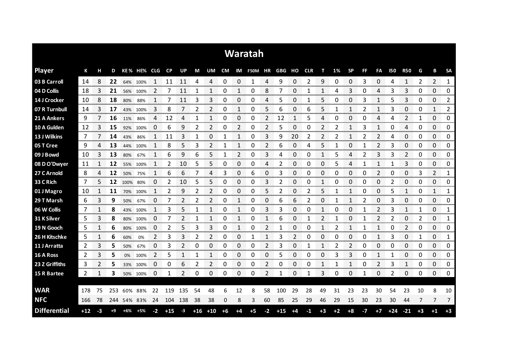| Waratah             |       |      |      |       |             |    |           |                |       |                |      |                |                          |                |       |      |      |      |      |              |           |                  |            |                |        |                |                        |
|---------------------|-------|------|------|-------|-------------|----|-----------|----------------|-------|----------------|------|----------------|--------------------------|----------------|-------|------|------|------|------|--------------|-----------|------------------|------------|----------------|--------|----------------|------------------------|
| <b>Player</b>       | К     | н    | D    |       | KE% HE% CLG |    | <b>CP</b> | UP             | M     | UM             |      |                | CM IM F50M HR GBG HO CLR |                |       |      |      | т    | 1%   | <b>SP</b>    | <b>FF</b> | FA               | <b>I50</b> | <b>R50</b>     | G      | В              | <b>SA</b>              |
| 03 B Carroll        | 14    | 8    | 22   | 64%   | 100%        |    | 11        | 11             | 4     | 4              | 0    | 0              |                          | 4              | 9     | 0    | 2    | 9    | 0    | 0            | 3         | 0                | 4          | 1              | 2      | 2              | 1                      |
| 04 D Collis         | 18    | 3    | 21   | 56%   | 100%        | 2  |           | 11             |       |                | 0    |                | 0                        | 8              |       | 0    |      |      | 4    | 3            | 0         | 4                | 3          | 3              | 0      | 0              | 0                      |
| 14 J Crocker        | 10    | 8    | 18   | 80%   | 88%         |    |           | 11             | 3     | 3              | 0    | 0              | 0                        | 4              | 5     | 0    |      | 5    | O    | 0            | 3         |                  | 5          | 3              | 0      | 0              | 2                      |
| 07 R Turnbull       | 14    | 3    | 17   | 43%   | 100%        | 3  | 8         |                | 2     | 2              | 0    | 1              | 0                        | 5              | 6     | 0    | 6    | 5    |      | 1            | 2         | 1                | 3          | 0              | 0      | 1              | 2                      |
| 21 A Ankers         | 9     | 7    | 16   | 11%   | 86%         | 4  | 12        | 4              | 1     | 1              | 0    | $\Omega$       | 0                        | $\overline{2}$ | 12    | 1    | 5    | 4    | 0    | 0            | 0         | 4                | 4          | $\overline{2}$ | 1      | 0              | 0                      |
| 10 A Gulden         | 12    | 3    | 15   | 92%   | 100%        | 0  | 6         | 9              | 2     | 2              | 0    | 2              | 0                        | 2              | 5     | 0    | 0    | 2    | 2    | 1            | 3         | 1                | 0          | 4              | 0      | 0              | 0                      |
| 13 J Wilkins        | 7     |      | 14   | 43%   | 86%         | 1  | 11        | 3              | 1     | 0              |      | 1              | 0                        | 3              | 9     | 20   | 2    | 2    | 2    | 1            | 2         | 2                | 4          | 0              | 0      | 0              | 0                      |
| 05 T Cree           | 9     | 4    | 13   | 44%   | 100%        | 1  | 8         | 5              | 3     | $\overline{2}$ | 1    | 1              | 0                        | 2              | 6     | 0    | 4    | 5    | 1    | 0            | 1         | 2                | 3          | 0              | 0      | 0              | 0                      |
| 09 J Bowd           | 10    | 3    | 13   | 80%   | 67%         | 1  | 6         | 9              | 6     | 5              | 1    | $\overline{2}$ | 0                        | 3              | 4     | 0    | 0    | 1    | 5    | 4            | 2         | 3                | 3          | $\overline{2}$ | 0      | 0              | 0                      |
| 08 D O'Dwyer        | 11    | 1    | 12   | 55%   | 100%        | 1  | 2         | 10             | 5     | 5              | 0    | 0              | 0                        | 4              | 2     | 0    | 0    | 0    | 5    | 4            | 1         | 1                | 1          | 3              | 0      | 0              | 0                      |
| 27 C Arnold         | 8     | 4    | 12   | 50%   | 75%         | 1  | 6         | 6              | 7     | 4              | 3    | 0              | 6                        | 0              | 3     | 0    | 0    | 0    | 0    | 0            | 0         | 2                | 0          | 0              | 3      | $\overline{2}$ | 1                      |
| 33 C Rich           | 7     | 5    | 12   | 100%  | 80%         | 0  | 2         | 10             | 5     | 5              | 0    | 0              | 0                        | 3              | 2     | 0    | 0    | 1    | 0    | 0            | 0         | 0                | 2          | 0              | 0      | 0              | 0                      |
| 01 J Magro          | 10    | 1    | 11   | 70%   | 100%        | 1  | 2         | 9              | 2     | 2              | 0    | 0              | 0                        | 5              | 2     | 0    | 2    | 5    |      | $\mathbf{1}$ | 0         | 0                | 5          | 1              | 0      | $\mathbf{1}$   | 1                      |
| 29 T Marsh          | 6     | 3    | 9    | 50%   | 67%         | 0  |           |                | 2     | 2              | 0    | 1              | 0                        | 0              | 6     | 6    |      | 0    |      |              |           | 0                | 3          | 0              | 0      | 0              | 0                      |
| 06 W Collis         | 7     |      | 8    | 43%   | 100%        |    | 3         | 5              |       |                | 0    |                | 0                        | 3              | 3     | 0    | 0    |      | O    | 0            |           | 2                | 3          | 1              |        | 0<br>mmmmmmmmm | 1<br>www.com           |
| 31 K Silver         | 5     | 3    | 8    | 80%   | 100%        | O  |           |                |       |                | O    |                | 0                        |                | h     | 0    |      |      |      | O            |           | <b>Secondary</b> |            | 0<br>oommo     | anana. | 0<br>ananana   | 1<br><b>Management</b> |
| 19 N Gooch          | 5     |      | 6    | 80%   | 100%        | 0  | 2         | 5              | 3     | 3              | 0    | 1              | 0                        | 2              |       | 0    | 0    | 1    | 2    | 1            | 1         |                  | 0          | 2              | 0      | 0              | 0<br>an an a           |
| 26 H Kitschke       | 5     |      | 6    | 60%   | 0%          | 2  | 3         | 3              | 2     | 2              | 0    | 0              |                          |                | 3     |      | O    | O    | U    | 0            | C         |                  | 3          | 0              | 1      | 0              | 1                      |
| 11 J Arratta        | 2     | 3    | 5    | 50%   | 67%         | 0  | 3         | 2              | 0     | 0              | 0    | 0              | 0                        | 2              | 3     | 0    |      | 1    | 2    | 2            | 0         | 0                | O          | 0              | 0      | 0              | 0                      |
| 16 A Ross           | 2     | 3    | 5    | 0%    | 100%        | 2  | 5         | 1              | 1     | 1              | 0    | 0              | 0                        | 0              | 5     | 0    | 0    | 0    | 3    | 3            | 0         | 1                |            | 0              | 0      | 0              | 0                      |
| 23 Z Griffiths      | 3     | 2    | 5    |       | 33% 100%    | 0  | 0         | 6              | 2     | $\overline{2}$ | 0    | 0              | 0                        | 2              | 0     | 0    | 0    | 1    | 1    | 1            | 0         | 2                | 3          | 1              | 0      | 0              | 0                      |
| 15 R Bartee         | 2     | 1    | 3    |       | 50% 100%    | 0  | 1         | $\mathfrak{p}$ | 0     | 0              | 0    | 0              | 0                        | 2              | 1     | 0    | 1    | 3    | 0    | 0            | -1        | 0                | 2          | 0              | 0      | 0              | 0                      |
|                     |       |      |      |       |             |    |           |                |       |                |      |                |                          |                |       |      |      |      |      |              |           |                  |            |                |        |                |                        |
| <b>WAR</b>          | 178   | 75   | 253  | 60%   | 88%         | 22 | 119       | 135            | 54    | 48             | 6    | 12             | 8                        | 58             | 100   | 29   | 28   | 49   | 31   | 23           | 23        | 30               | 54         | 23             | 10     | 8              | 10                     |
| <b>NFC</b>          | 166   | 78   | 244  |       | 54% 83%     | 24 | 104       | 138            | 38    | 38             | 0    | 8              | 3                        | 60             | 85    | 25   | 29   | 46   | 29   | 15           | 30        | 23               | 30         | 44             | 7      | 7              | 7                      |
| <b>Differential</b> | $+12$ | $-3$ | $+9$ | $+6%$ | $+5%$       | -2 | $+15$     | $-3$           | $+16$ | $+10$          | $+6$ | +4             | $+5$                     | -2             | $+15$ | $+4$ | $-1$ | $+3$ | $+2$ | $+8$         | -7        | $+7$             | $+24$      | $-21$          | $+3$   | $+1$           | $+3$                   |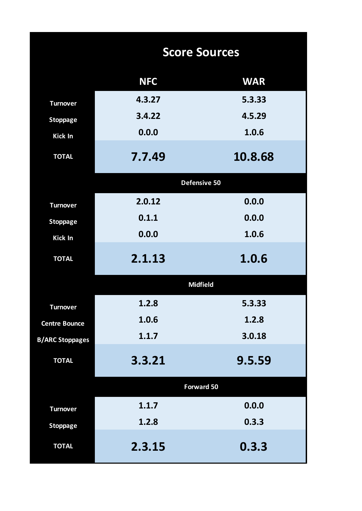|                        | <b>Score Sources</b> |                 |  |  |  |  |  |  |  |  |
|------------------------|----------------------|-----------------|--|--|--|--|--|--|--|--|
|                        | <b>NFC</b>           | <b>WAR</b>      |  |  |  |  |  |  |  |  |
| <b>Turnover</b>        | 4.3.27               | 5.3.33          |  |  |  |  |  |  |  |  |
| <b>Stoppage</b>        | 3.4.22               | 4.5.29          |  |  |  |  |  |  |  |  |
| <b>Kick In</b>         | 0.0.0                | 1.0.6           |  |  |  |  |  |  |  |  |
| <b>TOTAL</b>           | 7.7.49               | 10.8.68         |  |  |  |  |  |  |  |  |
|                        |                      | Defensive 50    |  |  |  |  |  |  |  |  |
| <b>Turnover</b>        | 2.0.12               | 0.0.0           |  |  |  |  |  |  |  |  |
| <b>Stoppage</b>        | 0.1.1                | 0.0.0           |  |  |  |  |  |  |  |  |
| Kick In                | 0.0.0                | 1.0.6           |  |  |  |  |  |  |  |  |
| <b>TOTAL</b>           | 2.1.13               | 1.0.6           |  |  |  |  |  |  |  |  |
|                        |                      | <b>Midfield</b> |  |  |  |  |  |  |  |  |
| <b>Turnover</b>        | 1.2.8                | 5.3.33          |  |  |  |  |  |  |  |  |
| <b>Centre Bounce</b>   | 1.0.6                | 1.2.8           |  |  |  |  |  |  |  |  |
| <b>B/ARC Stoppages</b> | 1.1.7                | 3.0.18          |  |  |  |  |  |  |  |  |
| <b>TOTAL</b>           | 3.3.21               | 9.5.59          |  |  |  |  |  |  |  |  |
|                        |                      | Forward 50      |  |  |  |  |  |  |  |  |
| <b>Turnover</b>        | 1.1.7                | 0.0.0           |  |  |  |  |  |  |  |  |
| <b>Stoppage</b>        | 1.2.8                | 0.3.3           |  |  |  |  |  |  |  |  |
| <b>TOTAL</b>           | 2.3.15               | 0.3.3           |  |  |  |  |  |  |  |  |